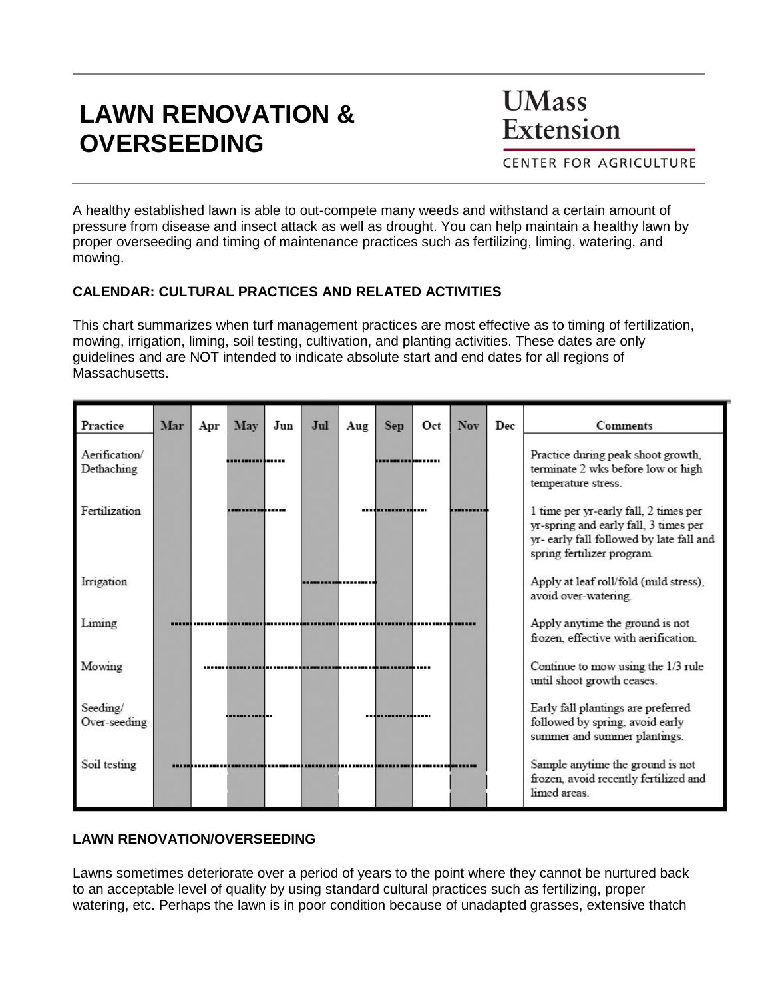# **LAWN RENOVATION & OVERSEEDING**

**UMass** Extension

**CENTER FOR AGRICULTURE** 

A healthy established lawn is able to out-compete many weeds and withstand a certain amount of pressure from disease and insect attack as well as drought. You can help maintain a healthy lawn by proper overseeding and timing of maintenance practices such as fertilizing, liming, watering, and mowing.

## **CALENDAR: CULTURAL PRACTICES AND RELATED ACTIVITIES**

This chart summarizes when turf management practices are most effective as to timing of fertilization, mowing, irrigation, liming, soil testing, cultivation, and planting activities. These dates are only guidelines and are NOT intended to indicate absolute start and end dates for all regions of Massachusetts.

| Practice                    | Mar | Apr | May            | Jun | Jul | Aug | <b>Sep</b>         | Oct | <b>Nov</b> | Dec | <b>Comments</b>                                                                                                                                          |
|-----------------------------|-----|-----|----------------|-----|-----|-----|--------------------|-----|------------|-----|----------------------------------------------------------------------------------------------------------------------------------------------------------|
| Aerification/<br>Dethaching |     |     | -------------- |     |     |     | ,,,,,,,,,,,,,,,,,, |     |            |     | Practice during peak shoot growth,<br>terminate 2 wks before low or high<br>temperature stress.                                                          |
| Fertilization               |     |     | ---------      |     |     |     |                    |     |            |     | 1 time per yr-early fall, 2 times per<br>yr-spring and early fall, 3 times per<br>yr- early fall followed by late fall and<br>spring fertilizer program. |
| Irrigation                  |     |     |                |     |     |     |                    |     |            |     | Apply at leaf roll/fold (mild stress),<br>avoid over-watering.                                                                                           |
| Liming                      |     |     |                |     |     |     |                    |     |            |     | Apply anytime the ground is not<br>frozen, effective with aerification.                                                                                  |
| Mowing                      |     |     |                |     |     |     |                    |     |            |     | Continue to mow using the 1/3 rule<br>until shoot growth ceases.                                                                                         |
| Seeding/<br>Over-seeding    |     |     |                |     |     |     | --------------     |     |            |     | Early fall plantings are preferred<br>followed by spring, avoid early<br>summer and summer plantings.                                                    |
| Soil testing                |     |     |                |     |     |     |                    |     |            |     | Sample anytime the ground is not<br>frozen, avoid recently fertilized and<br>limed areas                                                                 |

#### **LAWN RENOVATION/OVERSEEDING**

Lawns sometimes deteriorate over a period of years to the point where they cannot be nurtured back to an acceptable level of quality by using standard cultural practices such as fertilizing, proper watering, etc. Perhaps the lawn is in poor condition because of unadapted grasses, extensive thatch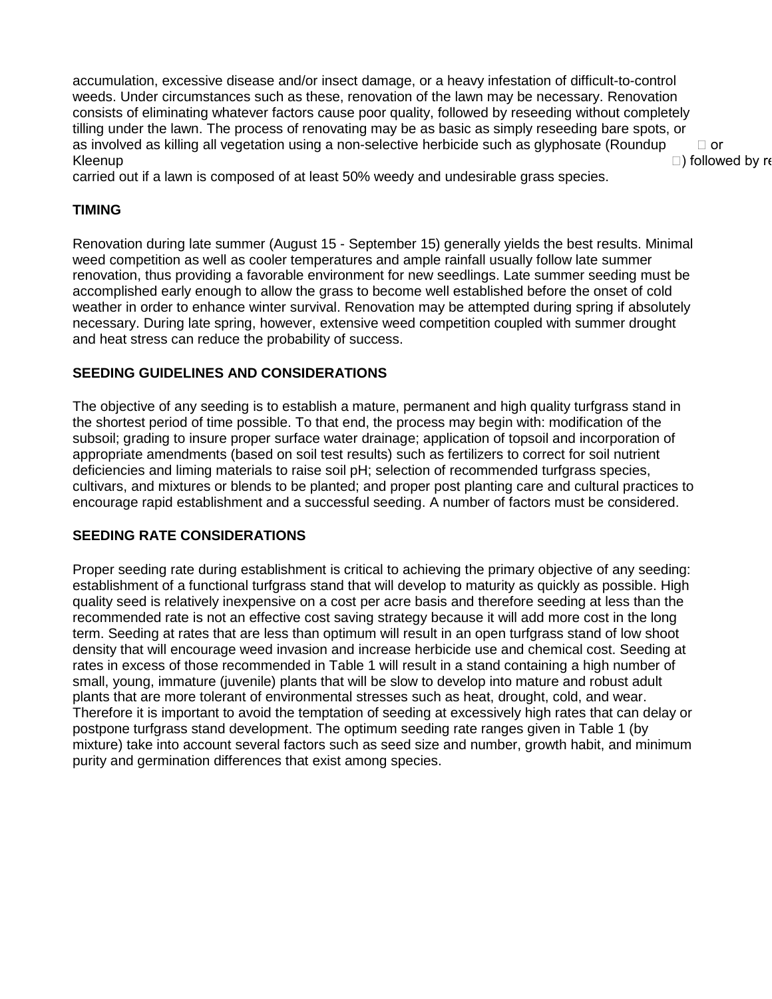accumulation, excessive disease and/or insect damage, or a heavy infestation of difficult-to-control weeds. Under circumstances such as these, renovation of the lawn may be necessary. Renovation consists of eliminating whatever factors cause poor quality, followed by reseeding without completely tilling under the lawn. The process of renovating may be as basic as simply reseeding bare spots, or as involved as killing all vegetation using a non-selective herbicide such as glyphosate (Roundup  $\Box$  or Kleenup  $\Box$ ) followed by re

carried out if a lawn is composed of at least 50% weedy and undesirable grass species.

## **TIMING**

Renovation during late summer (August 15 - September 15) generally yields the best results. Minimal weed competition as well as cooler temperatures and ample rainfall usually follow late summer renovation, thus providing a favorable environment for new seedlings. Late summer seeding must be accomplished early enough to allow the grass to become well established before the onset of cold weather in order to enhance winter survival. Renovation may be attempted during spring if absolutely necessary. During late spring, however, extensive weed competition coupled with summer drought and heat stress can reduce the probability of success.

#### **SEEDING GUIDELINES AND CONSIDERATIONS**

The objective of any seeding is to establish a mature, permanent and high quality turfgrass stand in the shortest period of time possible. To that end, the process may begin with: modification of the subsoil; grading to insure proper surface water drainage; application of topsoil and incorporation of appropriate amendments (based on soil test results) such as fertilizers to correct for soil nutrient deficiencies and liming materials to raise soil pH; selection of recommended turfgrass species, cultivars, and mixtures or blends to be planted; and proper post planting care and cultural practices to encourage rapid establishment and a successful seeding. A number of factors must be considered.

#### **SEEDING RATE CONSIDERATIONS**

Proper seeding rate during establishment is critical to achieving the primary objective of any seeding: establishment of a functional turfgrass stand that will develop to maturity as quickly as possible. High quality seed is relatively inexpensive on a cost per acre basis and therefore seeding at less than the recommended rate is not an effective cost saving strategy because it will add more cost in the long term. Seeding at rates that are less than optimum will result in an open turfgrass stand of low shoot density that will encourage weed invasion and increase herbicide use and chemical cost. Seeding at rates in excess of those recommended in Table 1 will result in a stand containing a high number of small, young, immature (juvenile) plants that will be slow to develop into mature and robust adult plants that are more tolerant of environmental stresses such as heat, drought, cold, and wear. Therefore it is important to avoid the temptation of seeding at excessively high rates that can delay or postpone turfgrass stand development. The optimum seeding rate ranges given in Table 1 (by mixture) take into account several factors such as seed size and number, growth habit, and minimum purity and germination differences that exist among species.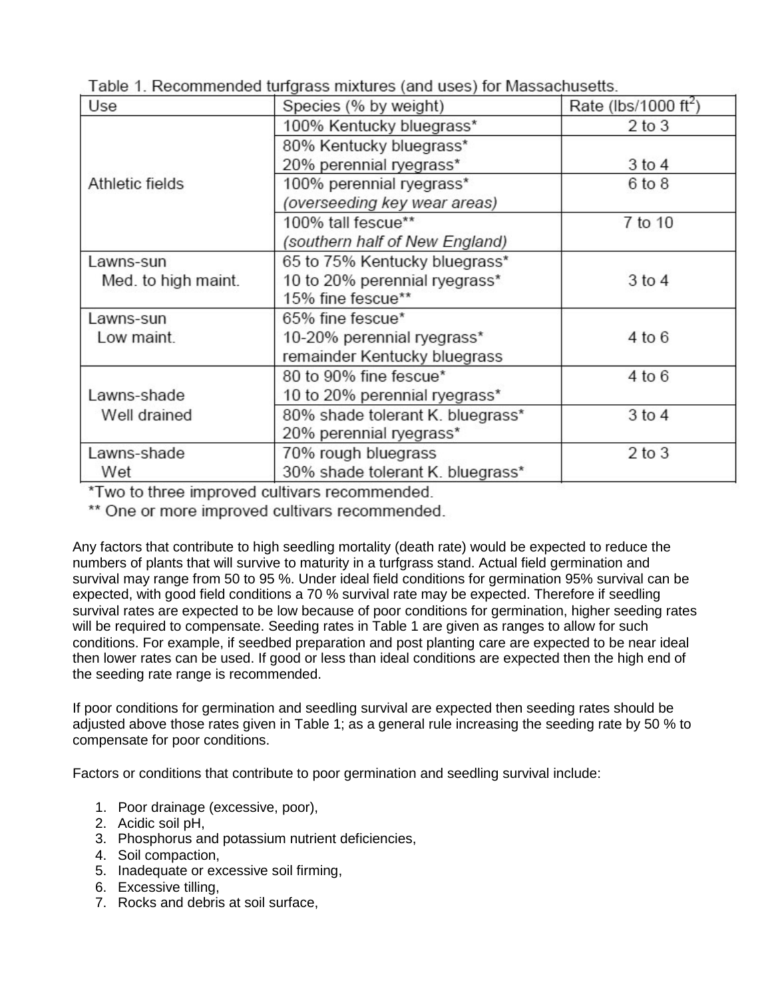| Use                 | Species (% by weight)            | Rate (lbs/1000 ft <sup>2</sup> ) |
|---------------------|----------------------------------|----------------------------------|
|                     | 100% Kentucky bluegrass*         | $2$ to $3$                       |
|                     | 80% Kentucky bluegrass*          |                                  |
|                     | 20% perennial ryegrass*          | $3$ to $4$                       |
| Athletic fields     | 100% perennial ryegrass*         | 6 to 8                           |
|                     | (overseeding key wear areas)     |                                  |
|                     | 100% tall fescue**               | 7 to 10                          |
|                     | (southern half of New England)   |                                  |
| Lawns-sun           | 65 to 75% Kentucky bluegrass*    |                                  |
| Med. to high maint. | 10 to 20% perennial ryegrass*    | $3$ to $4$                       |
|                     | 15% fine fescue**                |                                  |
| Lawns-sun           | 65% fine fescue*                 |                                  |
| Low maint.          | 10-20% perennial ryegrass*       | 4 to 6                           |
|                     | remainder Kentucky bluegrass     |                                  |
|                     | 80 to 90% fine fescue*           | 4 to 6                           |
| Lawns-shade         | 10 to 20% perennial ryegrass*    |                                  |
| Well drained        | 80% shade tolerant K. bluegrass* | $3$ to $4$                       |
|                     | 20% perennial ryegrass*          |                                  |
| Lawns-shade         | 70% rough bluegrass              | $2$ to $3$                       |
| Wet                 | 30% shade tolerant K. bluegrass* |                                  |

Table 1. Recommended turfgrass mixtures (and uses) for Massachusetts.

\*Two to three improved cultivars recommended.

\*\* One or more improved cultivars recommended.

Any factors that contribute to high seedling mortality (death rate) would be expected to reduce the numbers of plants that will survive to maturity in a turfgrass stand. Actual field germination and survival may range from 50 to 95 %. Under ideal field conditions for germination 95% survival can be expected, with good field conditions a 70 % survival rate may be expected. Therefore if seedling survival rates are expected to be low because of poor conditions for germination, higher seeding rates will be required to compensate. Seeding rates in Table 1 are given as ranges to allow for such conditions. For example, if seedbed preparation and post planting care are expected to be near ideal then lower rates can be used. If good or less than ideal conditions are expected then the high end of the seeding rate range is recommended.

If poor conditions for germination and seedling survival are expected then seeding rates should be adjusted above those rates given in Table 1; as a general rule increasing the seeding rate by 50 % to compensate for poor conditions.

Factors or conditions that contribute to poor germination and seedling survival include:

- 1. Poor drainage (excessive, poor),
- 2. Acidic soil pH,
- 3. Phosphorus and potassium nutrient deficiencies,
- 4. Soil compaction,
- 5. Inadequate or excessive soil firming,
- 6. Excessive tilling,
- 7. Rocks and debris at soil surface,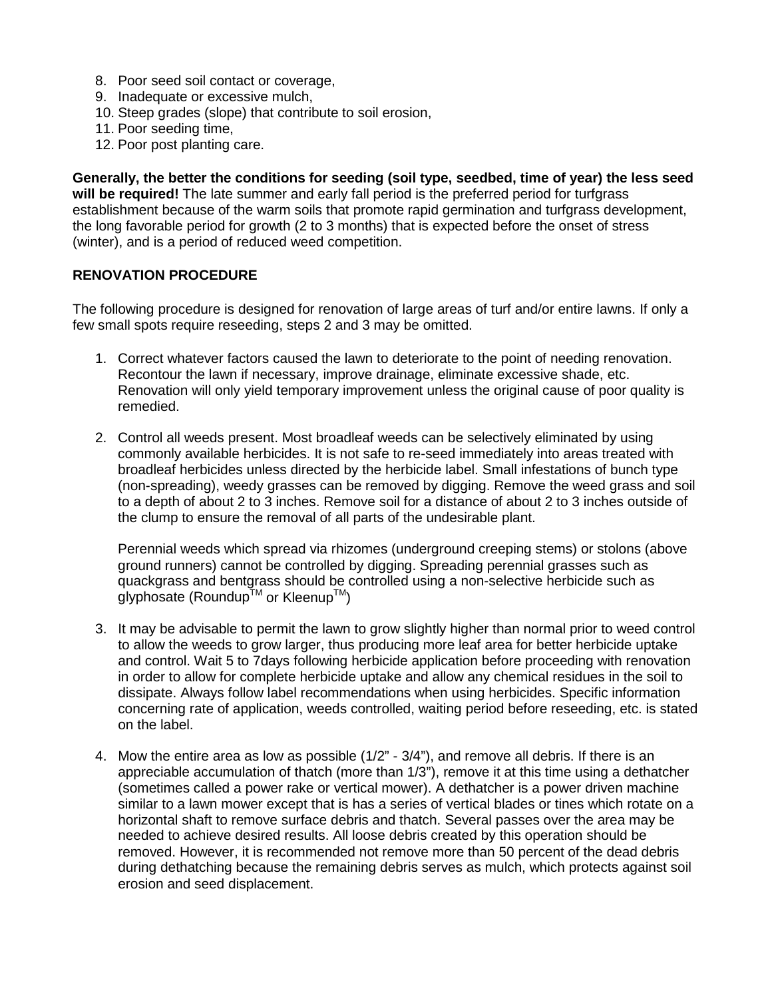- 8. Poor seed soil contact or coverage,
- 9. Inadequate or excessive mulch,
- 10. Steep grades (slope) that contribute to soil erosion,
- 11. Poor seeding time,
- 12. Poor post planting care.

**Generally, the better the conditions for seeding (soil type, seedbed, time of year) the less seed will be required!** The late summer and early fall period is the preferred period for turfgrass establishment because of the warm soils that promote rapid germination and turfgrass development, the long favorable period for growth (2 to 3 months) that is expected before the onset of stress (winter), and is a period of reduced weed competition.

#### **RENOVATION PROCEDURE**

The following procedure is designed for renovation of large areas of turf and/or entire lawns. If only a few small spots require reseeding, steps 2 and 3 may be omitted.

- 1. Correct whatever factors caused the lawn to deteriorate to the point of needing renovation. Recontour the lawn if necessary, improve drainage, eliminate excessive shade, etc. Renovation will only yield temporary improvement unless the original cause of poor quality is remedied.
- 2. Control all weeds present. Most broadleaf weeds can be selectively eliminated by using commonly available herbicides. It is not safe to re-seed immediately into areas treated with broadleaf herbicides unless directed by the herbicide label. Small infestations of bunch type (non-spreading), weedy grasses can be removed by digging. Remove the weed grass and soil to a depth of about 2 to 3 inches. Remove soil for a distance of about 2 to 3 inches outside of the clump to ensure the removal of all parts of the undesirable plant.

Perennial weeds which spread via rhizomes (underground creeping stems) or stolons (above ground runners) cannot be controlled by digging. Spreading perennial grasses such as quackgrass and bentgrass should be controlled using a non-selective herbicide such as glyphosate (Roundup<sup>TM</sup> or Kleenup<sup>TM</sup>)

- 3. It may be advisable to permit the lawn to grow slightly higher than normal prior to weed control to allow the weeds to grow larger, thus producing more leaf area for better herbicide uptake and control. Wait 5 to 7days following herbicide application before proceeding with renovation in order to allow for complete herbicide uptake and allow any chemical residues in the soil to dissipate. Always follow label recommendations when using herbicides. Specific information concerning rate of application, weeds controlled, waiting period before reseeding, etc. is stated on the label.
- 4. Mow the entire area as low as possible (1/2" 3/4"), and remove all debris. If there is an appreciable accumulation of thatch (more than 1/3"), remove it at this time using a dethatcher (sometimes called a power rake or vertical mower). A dethatcher is a power driven machine similar to a lawn mower except that is has a series of vertical blades or tines which rotate on a horizontal shaft to remove surface debris and thatch. Several passes over the area may be needed to achieve desired results. All loose debris created by this operation should be removed. However, it is recommended not remove more than 50 percent of the dead debris during dethatching because the remaining debris serves as mulch, which protects against soil erosion and seed displacement.